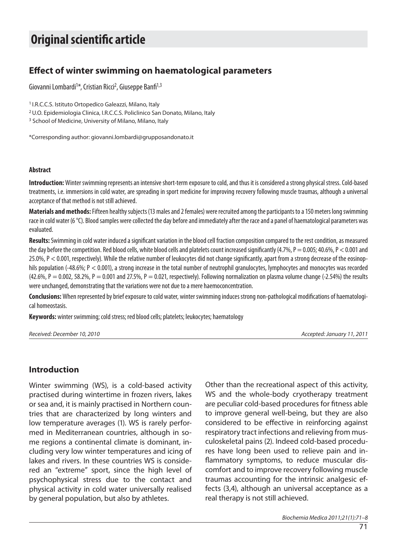# **Original scientific article**

# **Effect of winter swimming on haematological parameters**

Giovanni Lombardi<sup>1\*</sup>, Cristian Ricci<sup>2</sup>, Giuseppe Banfi<sup>1,3</sup>

<sup>1</sup> I.R.C.C.S. Istituto Ortopedico Galeazzi, Milano, Italy

<sup>2</sup> U.O. Epidemiologia Clinica, I.R.C.C.S. Policlinico San Donato, Milano, Italy

<sup>3</sup> School of Medicine, University of Milano, Milano, Italy

\*Cor res pon di ng aut hor: gio van ni.lombardi@grupposandonato.it

#### **Abstract**

**Introduction:** Winter swimming represents an intensive short-term exposure to cold, and thus it is considered a strong physical stress. Cold-based treatments, i.e. immersions in cold water, are spreading in sport medicine for improving recovery following muscle traumas, although a universal acceptance of that method is not still achieved.

Materials and methods: Fifteen healthy subjects (13 males and 2 females) were recruited among the participants to a 150 meters long swimming race in cold water (6 °C). Blood samples were collected the day before and immediately after the race and a panel of haematological parameters was evaluated.

**Results:** Swimming in cold water induced a significant variation in the blood cell fraction composition compared to the rest condition, as measured the day before the competition. Red blood cells, white blood cells and platelets count increased significantly (4.7%,  $P = 0.005$ ; 40.6%,  $P < 0.001$  and 25.0%, P < 0.001, respectively). While the relative number of leukocytes did not change significantly, apart from a strong decrease of the eosinophils population  $(-48.6\%; P < 0.001)$ , a strong increase in the total number of neutrophil granulocytes, lymphocytes and monocytes was recorded  $(42.6\%, P = 0.002, 58.2\%, P = 0.001$  and 27.5%,  $P = 0.021$ , respectively). Following normalization on plasma volume change (-2.54%) the results were unchanged, demonstrating that the variations were not due to a mere haemoconcentration.

**Conclusions:** When represented by brief exposure to cold water, winter swimming induces strong non-pathological modifications of haematological homeostasis.

Keywords: winter swimming; cold stress; red blood cells; platelets; leukocytes; haematology

Re cei ved: Decem ber 10, 2010 Ac cep ted: Janua ry 11, 2011

## **In tro duc tion**

Winter swimming (WS), is a cold-based activity practised during winter time in frozen rivers, lakes or sea and, it is mainly practised in Northern countries that are characterized by long winters and low temperature averages (1). WS is rarely performed in Mediterranean countries, although in some regions a continental climate is dominant, including very low winter temperatures and icing of lakes and rivers. In these countries WS is considered an "extreme" sport, since the high level of psychophysical stress due to the contact and physical activity in cold water universally realised by general population, but also by athletes.

Other than the recreational aspect of this activity, WS and the whole-body cryotherapy treatment are peculiar cold-based procedures for fitness able to improve general well-being, but they are also considered to be effective in reinforcing against respiratory tract infections and relieving from musculos keletal pains (2). Indeed cold-based procedures have long been used to relieve pain and inflammatory symptoms, to reduce muscular discomfort and to improve recovery following muscle traumas accounting for the intrinsic analgesic effects (3,4), although an universal acceptance as a real therapy is not still achieved.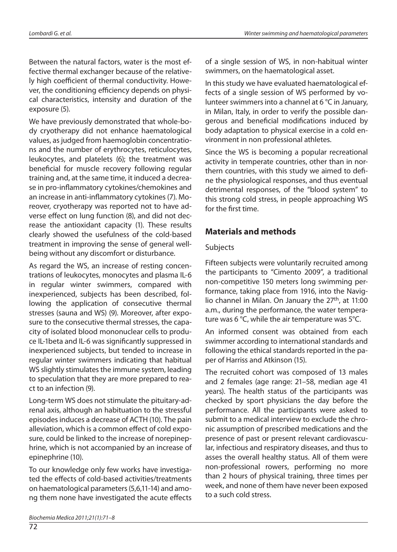Between the natural factors, water is the most effective thermal exchanger because of the relatively high coefficient of thermal conductivity. However, the conditioning efficiency depends on physical characteristics, intensity and duration of the exposure (5).

We have previously demonstrated that whole-body cryotherapy did not enhance haematological values, as judged from hae moglobin concentrations and the number of erythrocytes, reticulocytes, leukocytes, and platelets (6); the treatment was beneficial for muscle recovery following regular training and, at the same time, it induced a decrease in pro-inflammatory cytokines/chemokines and an increase in anti-inflammatory cytokines (7). Moreover, cryotherapy was reported not to have adverse effect on lung function (8), and did not decrease the antioxidant capacity (1). These results clearly showed the usefulness of the cold-based treatment in improving the sense of general wellbeing without any discomfort or disturbance.

As regard the WS, an increase of resting concentrations of leukocytes, monocytes and plasma IL-6 in regular winter swimmers, compared with inexperienced, subjects has been described, following the application of consecutive thermal stresses (sauna and WS) (9). Moreover, after exposure to the consecutive thermal stresses, the capacity of isolated blood mononuclear cells to produce IL-1beta and IL-6 was significantly suppressed in inexperienced subjects, but tended to increase in regular winter swimmers indicating that habitual WS slightly stimulates the immune system, leading to speculation that they are more prepared to react to an infection (9).

Long-term WS does not stimulate the pituitary-adrenal axis, although an habituation to the stressful episodes induces a decrease of ACTH (10). The pain alleviation, which is a common effect of cold exposure, could be linked to the increase of norepinephrine, which is not accompanied by an increase of epinephrine (10).

To our knowledge only few works have investigated the effects of cold-based activities/treatments on hae matological parameters (5,6,11-14) and among them none have investigated the acute effects

72

of a single session of WS, in non-habitual winter swimmers, on the hae matological asset.

In this study we have evaluated hae matological effects of a single session of WS performed by volunteer swimmers into a channel at  $6^{\circ}$ C in January, in Milan, Italy, in order to verify the possible dangerous and beneficial modifications induced by body adaptation to physical exercise in a cold environment in non professional athletes.

Since the WS is becoming a popular recreational activity in temperate countries, other than in northern countries, with this study we aimed to define the physiological responses, and thus eventual detrimental responses, of the "blood system" to this strong cold stress, in people approaching WS for the first time.

## **Materials and methods**

#### Subjects

Fifteen subjects were voluntarily recruited among the participants to "Cimento 2009", a traditional non-competitive 150 meters long swimming performance, taking place from 1916, into the Naviglio channel in Milan. On January the  $27<sup>th</sup>$ , at 11:00 a.m., during the performance, the water temperature was 6 °C, while the air temperature was 5 °C.

An informed consent was obtained from each swimmer according to international standards and following the ethical standards reported in the paper of Harriss and Atkinson (15).

The recruited cohort was composed of 13 males and 2 females (age range: 21–58, median age 41 years). The health status of the participants was checked by sport physicians the day before the performance. All the participants were asked to sub mit to a medical interview to exclude the chronic assumption of prescribed medications and the presence of past or present relevant cardiovascular, infectious and respiratory diseases, and thus to asses the overall healthy status. All of them were non-professional rowers, performing no more than 2 hours of physical training, three times per week, and none of them have never been exposed to a such cold stress.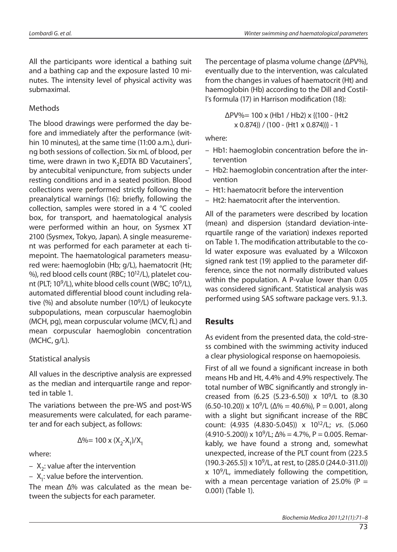All the participants wore identical a bathing suit and a bathing cap and the exposure lasted 10 minutes. The intensity level of physical activity was submaximal.

## **Methods**

The blood drawings were performed the day before and immediately after the performance (within 10 minutes), at the same time (11:00 a.m.), during both sessions of collection. Six mL of blood, per time, were drawn in two  $\text{K}_2$ EDTA BD Vacutainers $\degree$ , by antecubital venipuncture, from subjects under resting conditions and in a seated position. Blood collections were performed strictly following the preanalytical warnings (16): briefly, following the collection, samples were stored in a 4  $\degree$ C cooled box, for transport, and haematological analysis were performed within an hour, on Sysmex XT 2100 (Sysmex, Tokyo, Japan). A single measurement was performed for each parameter at each timepoint. The haematological parameters measured were: hae moglobin (Hb; g/L), hae matocrit (Ht; %), red blood cells count (RBC;  $10^{12}/L$ ), platelet count (PLT; 10<sup>9</sup>/L), white blood cells count (WBC; 10<sup>9</sup>/L), automated differential blood count including relative  $%$ ) and absolute number (10<sup>9</sup>/L) of leukocyte subpopulations, mean corpuscular hae moglobin (MCH, pg), mean corpuscular volume (MCV, fL) and mean corpuscular hae moglobin concentration (MCHC, g/L).

## Statistical analysis

All values in the descriptive analysis are expressed as the median and interquartile range and reported in table 1.

The variations between the pre-WS and post-WS measurements were calculated, for each parameter and for each subject, as follows:

$$
\Delta\% = 100 \times (X_2 - X_1)/X_1
$$

where:

- $X_2$ : value after the intervention
- $-$  X<sub>1</sub>: value before the intervention.

The mean  $\Delta\%$  was calculated as the mean between the subjects for each parameter.

The percentage of plasma volume change (ΔPV%), eventually due to the intervention, was calculated from the changes in values of haematocrit (Ht) and haemoglobin (Hb) according to the Dill and Costill's formula (17) in Harrison modification (18):

> ΔPV%= 100 x (Hb1 / Hb2) x {(100 - (Ht2 x 0.874)) / (100 - (Ht1 x 0.874))} - 1

where:

- Hb1: hae moglobin concentration before the intervention
- Hb2: hae moglobin concentration after the intervention
- Ht1: hae mato crit before the intervention
- $-$  Ht2: haematocrit after the intervention.

All of the parameters were described by location (mean) and dispersion (standard deviation-interquar tile range of the variation) indexes reported on Table 1. The modification attributable to the co-Id water exposure was evaluated by a Wilcoxon signed rank test (19) applied to the parameter difference, since the not normally distributed values within the population. A P-value lower than 0.05 was considered significant. Statistical analysis was performed using SAS software package vers. 9.1.3.

## **Results**

As evident from the presented data, the cold-stress combined with the swimming activity induced a clear physiological response on haemopoiesis.

First of all we found a significant increase in both means Hb and Ht, 4.4% and 4.9% respectively. The total number of WBC significantly and strongly increased from  $(6.25 (5.23-6.50)) \times 10^9/\text{L}$  to  $(8.30)$ (6.50-10.20)) x 10<sup>9</sup>/L ( $\Delta\% = 40.6\%$ ), P = 0.001, along with a slight but significant increase of the RBC count: (4.935 (4.830-5.045)) x 10<sup>12</sup>/L; vs. (5.060 (4.910-5.200)) x 10<sup>9</sup>/L;  $\Delta\% = 4.7\%$ , P = 0.005. Remarkably, we have found a strong and, somewhat unexpected, increase of the PLT count from (223.5)  $(190.3-265.5)$ ) x 10<sup>9</sup>/L, at rest, to  $(285.0 (244.0-311.0))$  $x$  10<sup>9</sup>/L, immediately following the competition, with a mean percentage variation of 25.0% (P = 0.001) (Table 1).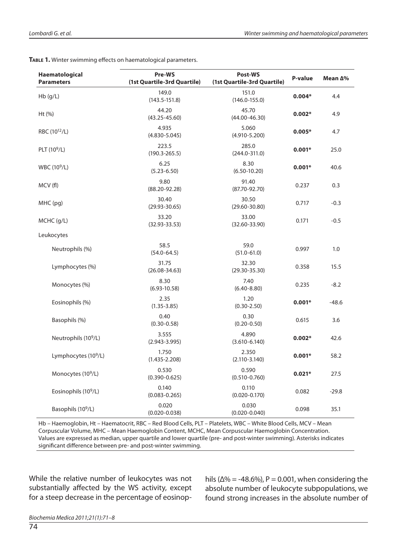| Haematological<br><b>Parameters</b> | Pre-WS<br>(1st Quartile-3rd Quartile) | Post-WS<br>(1st Quartile-3rd Quartile) | P-value  | Mean ∆% |
|-------------------------------------|---------------------------------------|----------------------------------------|----------|---------|
| Hb(g/L)                             | 149.0<br>$(143.5 - 151.8)$            | 151.0<br>$(146.0 - 155.0)$             | $0.004*$ | 4.4     |
| Ht (%)                              | 44.20<br>$(43.25 - 45.60)$            | 45.70<br>$(44.00 - 46.30)$             | $0.002*$ | 4.9     |
| RBC (10 <sup>12</sup> /L)           | 4.935<br>$(4.830 - 5.045)$            | 5.060<br>$(4.910 - 5.200)$             | $0.005*$ | 4.7     |
| PLT (10 <sup>9</sup> /L)            | 223.5<br>$(190.3 - 265.5)$            | 285.0<br>$(244.0 - 311.0)$             | $0.001*$ | 25.0    |
| WBC (10 <sup>9</sup> /L)            | 6.25<br>$(5.23 - 6.50)$               | 8.30<br>$(6.50 - 10.20)$               | $0.001*$ | 40.6    |
| MCV(fl)                             | 9.80<br>$(88.20 - 92.28)$             | 91.40<br>$(87.70 - 92.70)$             | 0.237    | 0.3     |
| MHC (pg)                            | 30.40<br>$(29.93 - 30.65)$            | 30.50<br>$(29.60 - 30.80)$             | 0.717    | $-0.3$  |
| MCHC (g/L)                          | 33.20<br>$(32.93 - 33.53)$            | 33.00<br>$(32.60 - 33.90)$             | 0.171    | $-0.5$  |
| Leukocytes                          |                                       |                                        |          |         |
| Neutrophils (%)                     | 58.5<br>$(54.0 - 64.5)$               | 59.0<br>$(51.0 - 61.0)$                | 0.997    | 1.0     |
| Lymphocytes (%)                     | 31.75<br>$(26.08 - 34.63)$            | 32.30<br>$(29.30 - 35.30)$             | 0.358    | 15.5    |
| Monocytes (%)                       | 8.30<br>$(6.93 - 10.58)$              | 7.40<br>$(6.40 - 8.80)$                | 0.235    | $-8.2$  |
| Eosinophils (%)                     | 2.35<br>$(1.35 - 3.85)$               | 1.20<br>$(0.30 - 2.50)$                | $0.001*$ | $-48.6$ |
| Basophils (%)                       | 0.40<br>$(0.30 - 0.58)$               | 0.30<br>$(0.20 - 0.50)$                | 0.615    | 3.6     |
| Neutrophils (10 <sup>9</sup> /L)    | 3.555<br>$(2.943 - 3.995)$            | 4.890<br>$(3.610 - 6.140)$             | $0.002*$ | 42.6    |
| Lymphocytes (10 <sup>9</sup> /L)    | 1.750<br>$(1.435 - 2.208)$            | 2.350<br>$(2.110 - 3.140)$             | $0.001*$ | 58.2    |
| Monocytes (10 <sup>9</sup> /L)      | 0.530<br>$(0.390 - 0.625)$            | 0.590<br>$(0.510 - 0.760)$             | $0.021*$ | 27.5    |
| Eosinophils (10 <sup>9</sup> /L)    | 0.140<br>$(0.083 - 0.265)$            | 0.110<br>$(0.020 - 0.170)$             | 0.082    | $-29.8$ |
| Basophils (10 <sup>9</sup> /L)      | 0.020<br>$(0.020 - 0.038)$            | 0.030<br>$(0.020 - 0.040)$             | 0.098    | 35.1    |

**TABLE 1.** Winter swimming effects on haematological parameters.

Hb – Haemoglobin, Ht – Haematocrit, RBC – Red Blood Cells, PLT – Platelets, WBC – White Blood Cells, MCV – Mean Corpuscular Volume, MHC – Mean Haemoglobin Content, MCHC, Mean Corpuscular Haemoglobin Concentration. Values are expressed as median, upper quartile and lower quartile (pre- and post-winter swimming). Asterisks indicates significant difference between pre- and post-winter swimming.

While the relative number of leukocytes was not substantially affected by the WS activity, except for a steep decrease in the percentage of eosinop-

hils ( $\Delta\%$  = -48.6%), P = 0.001, when considering the absolute number of leukocyte subpopulations, we found strong increases in the absolute number of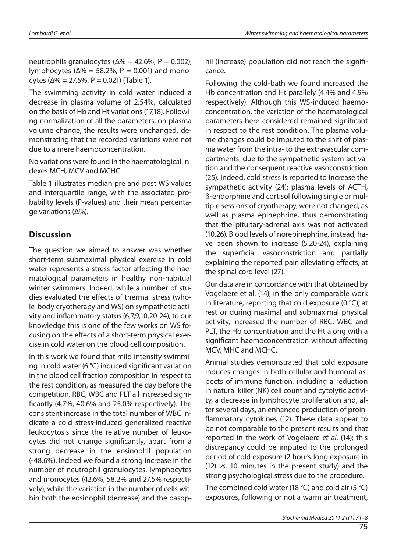neutrophils granulocytes ( $\Delta\% = 42.6\%$ , P = 0.002), lymphocytes ( $\Delta\% = 58.2\%$ , P = 0.001) and monocytes ( $\Delta\% = 27.5\%$ , P = 0.021) (Table 1).

The swimming activity in cold water induced a decrease in plasma volume of 2.54%, calculated on the basis of Hb and Ht variations (17,18). Following normalization of all the parameters, on plasma volume change, the results were unchanged, demonstrating that the recorded variations were not due to a mere hae moconcentration.

No variations were found in the haematological indexes MCH, MCV and MCHC.

Table 1 illustrates median pre and post WS values and interquar tile range, with the associated probability levels (P-values) and their mean percentage variations (Δ%).

# **Dis cus sion**

The question we aimed to answer was whether short-term submaximal physical exercise in cold water represents a stress factor affecting the haematological parameters in healthy non-habitual winter swimmers. Indeed, while a number of studies evaluated the effects of thermal stress (whole-body cryotherapy and WS) on sympathetic activity and inflammatory status  $(6,7,9,10,20-24)$ , to our knowledge this is one of the few works on WS focusing on the effects of a short-term physical exercise in cold water on the blood cell composition.

In this work we found that mild intensity swimming in cold water (6 °C) induced significant variation in the blood cell fraction composition in respect to the rest condition, as measured the day before the competition. RBC, WBC and PLT all increased significantly  $(4.7\%$ , 40.6% and 25.0% respectively). The consistent increase in the total number of WBC indicate a cold stress-induced generalized reactive leukocytosis since the relative number of leukocytes did not change significantly, apart from a strong decrease in the eosinophil population (-48.6%). Indeed we found a strong increase in the number of neutrophil granulocytes, lymphocytes and monocytes (42.6%, 58.2% and 27.5% respectively), while the variation in the number of cells within both the eosinophil (decrease) and the basophil (increase) population did not reach the significance.

Following the cold-bath we found increased the Hb concentration and Ht parallely (4.4% and 4.9% respectively). Although this WS-induced haemoconcentration, the variation of the hae matological parameters here considered remained significant in respect to the rest condition. The plasma volume changes could be imputed to the shift of plasma water from the intra- to the extravas cular compartments, due to the sympathetic system activation and the consequent reactive vasoconstriction (25). Indeed, cold stress is reported to increase the sympathetic activity (24): plasma levels of ACTH, β-endorphine and cortisol following single or multiple sessions of cryotherapy, were not changed, as well as plasma epinephrine, thus demonstrating that the pituitary-adrenal axis was not activated (10,26). Blood levels of norepinephrine, instead, have been shown to increase (5,20-24), explaining the superficial vasoconstriction and partially explaining the reported pain alleviating effects, at the spinal cord level (27).

Our data are in concordance with that obtained by Vogelaere et al. (14), in the only comparable work in literature, reporting that cold exposure (0  $\degree$ C), at rest or during maximal and submaximal physical activity, increased the number of RBC, WBC and PLT, the Hb concentration and the Ht along with a significant haemoconcentration without affecting MCV, MHC and MCHC.

Animal studies demonstrated that cold exposure induces changes in both cellular and humoral aspects of immune function, including a reduction in natural killer (NK) cell count and cytolytic activity, a decrease in lymphocyte proliferation and, after several days, an enhanced production of proinflammatory cytokines (12). These data appear to be not comparable to the present results and that reported in the work of Vogelaere et al. (14); this discrepancy could be imputed to the prolonged period of cold exposure (2 hours-long exposure in  $(12)$  vs. 10 minutes in the present study) and the strong psychological stress due to the procedure.

The combined cold water (18 °C) and cold air (5 °C) exposures, following or not a warm air treatment,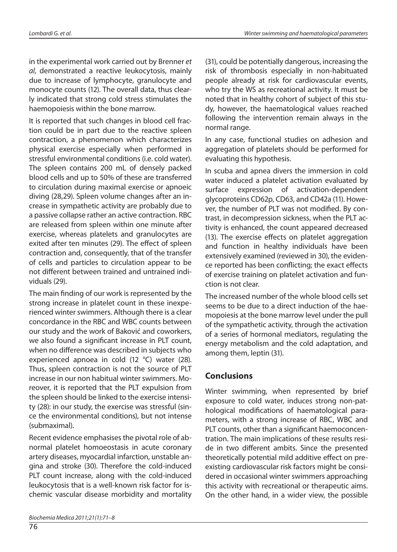in the experimental work carried out by Brenner et al, demonstrated a reactive leukocytosis, mainly due to increase of lymphocyte, granulocyte and monocyte counts (12). The overall data, thus clearly indicated that strong cold stress stimulates the hae mopoies is within the bone marrow.

It is reported that such changes in blood cell fraction could be in part due to the reactive spleen contraction, a phenomenon which characterizes physical exercise especially when performed in stressful environmental conditions (i.e. cold water). The spleen contains 200 mL of densely packed blood cells and up to 50% of these are transferred to circulation during maximal exercise or apnoeic diving (28,29). Spleen volume changes after an increase in sympathetic activity are probably due to a passive collapse rather an active contraction. RBC are released from spleen within one minute after exercise, whereas platelets and granulocytes are exited after ten minutes (29). The effect of spleen contraction and, consequently, that of the transfer of cells and particles to circulation appear to be not different between trained and untrained individuals (29).

The main finding of our work is represented by the strong increase in platelet count in these inexperienced winter swimmers. Although there is a clear concordance in the RBC and WBC counts between our study and the work of Baković and coworkers, we also found a significant increase in PLT count, when no difference was described in subjects who experienced apnoea in cold  $(12 \degree C)$  water  $(28)$ . Thus, spleen contraction is not the source of PLT increase in our non habitual winter swimmers. Moreover, it is reported that the PLT expulsion from the spleen should be linked to the exercise intensity (28): in our study, the exercise was stressful (since the environmental conditions), but not intense (submaximal).

Recent evidence emphasises the pivotal role of abnormal platelet homoeostasis in acute coronary artery diseases, myocardial infarction, unstable angina and stroke (30). Therefore the cold-induced PLT count increase, along with the cold-induced leukocytosis that is a well-known risk factor for ischemic vascular disease morbidity and mortality (31), could be potentially dangerous, increasing the risk of thrombosis especially in non-habituated people already at risk for cardiovascular events, who try the WS as recreational activity. It must be noted that in healthy cohort of subject of this study, however, the haematological values reached following the intervention remain always in the normal range.

In any case, functional studies on adhesion and aggregation of platelets should be performed for evaluating this hypothesis.

In scuba and apnea divers the immersion in cold water induced a platelet activation evaluated by surface expression of activation-dependent glycoproteins CD62p, CD63, and CD42a (11). However, the number of PLT was not modified. By contrast, in decompression sickness, when the PLT activity is enhanced, the count appeared decreased  $(13)$ . The exercise effects on platelet aggregation and function in healthy individuals have been exten sively examined (reviewed in 30), the evidence reported has been conflicting; the exact effects of exercise training on platelet activation and function is not clear.

The increased number of the whole blood cells set seems to be due to a direct induction of the haemopoiesis at the bone marrow level under the pull of the sympathetic activity, through the activation of a series of hormonal mediators, regulating the energy metabolism and the cold adaptation, and among them, leptin (31).

# **Con clu sio ns**

Winter swimming, when represented by brief exposure to cold water, induces strong non-pathological modifications of hae matological parameters, with a strong increase of RBC, WBC and PLT counts, other than a significant hae moconcentration. The main implications of these results reside in two different ambits. Since the presented theoretically potential mild additive effect on preexisting cardiovas cular risk factors might be considered in occasional winter swimmers approaching this activity with recreational or the rapeutic aims. On the other hand, in a wider view, the possible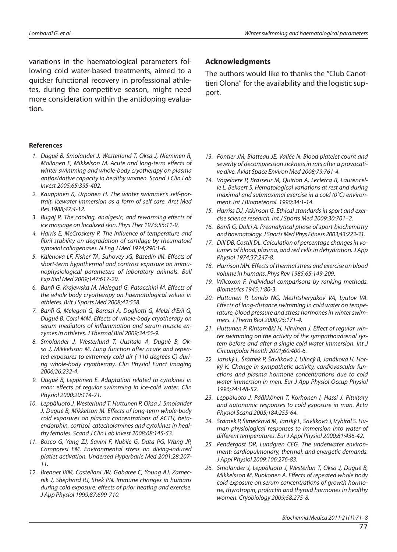variations in the haematological parameters following cold water-based treatments, aimed to a quicker functional recovery in professional athletes, during the competitive season, might need more consideration within the antidoping evaluation.

#### **Re fe ren ces**

- 1. Dugué B, Smolander J, Westerlund T, Oksa J, Nieminen R, Moilanen E, Mikkelson M. Acute and long-term effects of winter swimming and whole-body cryotherapy on plasma antioxidative capacity in healthy women. Scand J Clin Lab In ve st 2005;65:395-402.
- 2. Kauppinen K, Urponen H. The winter swimmer's self-portrait. Icewater immersion as a form of self care. Arct Med Res 1988;47:4-12.
- 3. Bugaj R. The cooling, analgesic, and rewarming effects of ice massage on localized skin. Phys Ther 1975;55:11-9.
- 4. Harris E, McCroskery P. The influence of temperature and fibril stability on degradation of cartilage by rheumatoid synovial collagenases. N Eng J Med 1974;290:1-6.
- 5. Kalenova LF, Fisher TA, Suhovey JG, Basedin IM. Effects of short-term hypothermal and contrast exposure on immunophysiological parameters of laboratory animals. Bull Exp Biol Med 2009;147:617-20.
- 6. Banfi G, Krajewska M, Melegati G, Patacchini M. Effects of the whole body cryotherapy on haematological values in athletes. Brit J Sports Med 2008;42:558.
- 7. Banfi G, Melegati G, Barassi A, Dogliotti G, Melzi d'Eril G, Duqué B, Corsi MM. Effects of whole-body cryotherapy on serum mediators of inflammation and serum muscle enzymes in athletes. J Thermal Biol 2009;34:55-9.
- 8. Smolander J, Westerlund T, Uusitalo A, Duquè B, Oksa J, Mikkelsson M. Lung function after acute and repeated exposures to extremely cold air (-110 degrees C) during whole-body cryotherapy. Clin Physiol Funct Imaging 2006;26:232-4.
- 9. Duqué B, Leppänen E. Adaptation related to cytokines in man: effects of regular swimming in ice-cold water. Clin Physiol 2000;20:114-21.
- 10. Leppäluoto J, Westerlund T, Huttunen P, Oksa J, Smolander J, Dugué B, Mikkelson M. Effects of long-term whole-body cold exposures on plasma concentrations of ACTH, betaendorphin, cortisol, catecholamines and cytokines in healthy females. Scand J Clin Lab Invest 2008;68:145-53.
- 11. Bosco G, Yang ZJ, Savini F, Nubile G, Data PG, Wang JP, Camporesi EM. Environmental stress on diving-induced platlet activation. Undersea Hyperbaric Med 2001;28:207-11.
- 12. Brenner IKM, Castellani JW, Gabaree C, Young AJ, Zamecnik J, Shephard RJ, Shek PN. Immune changes in humans during cold exposure: effects of prior heating and exercise. J App Physiol 1999;87:699-710.

#### **Ac knowled gmen ts**

The authors would like to thanks the "Club Canottieri Olona" for the availability and the logistic support.

- 13. Pontier JM, Blatteau JE, Vallée N. Blood platelet count and severity of decompression sickness in rats after a provocative dive. Aviat Space Environ Med 2008;79:761-4.
- 14. Vogelaere P, Brasseur M, Quirion A, Leclercq R, Laurencelle L, Bekaert S. Hematological variations at rest and during maximal and submaximal exercise in a cold ( $0^{\circ}$ C) environment. Int J Biometeorol. 1990:34:1-14.
- 15. Harriss DJ, Atkinson G. Ethical standards in sport and exercise science research. Int J Sports Med 2009;30:701-2.
- 16. Banfi G, Dolci A. Preanalytical phase of sport biochemistry and haematology. J Sports Med Phys Fitness 2003;43:223-31.
- 17. Dill DB, Costill DL. Calculation of percentage changes in volumes of blood, plasma, and red cells in dehydration. J App Physiol 1974;37:247-8.
- 18. Harrison MH. Effects of thermal stress and exercise on blood volume in humans. Phys Rev 1985;65:149-209.
- 19. Wilcoxon F. Individual comparisons by ranking methods. Biometrics 1945;1:80-3.
- 20. Huttunen P, Lando NG, Meshtsheryakov VA, Lyutov VA. Effects of long-distance swimming in cold water on temperature, blood pressure and stress hormones in winter swimmers. J Therm Biol 2000;25:171-4.
- 21. Huttunen P, Rintamäki H, Hirvinen J. Effect of regular winter swimming on the activity of the sympathoadrenal system before and after a single cold water immersion. Int J Circumpolar Health 2001;60:400-6.
- 22. Janský L, Šrámek P, Šavlíková J, Ulincý B, Janáková H, Horký K. Change in sympathetic activity, cardiovascular functions and plasma hormone concentrations due to cold water immersion in men. Eur J App Physiol Occup Physiol 1996;74:148-52.
- 23. Leppäluoto J, Pääkkönen T, Korhonen I, Hassi J. Pituitary and autonomic responses to cold exposure in man. Acta Physiol Scand 2005;184:255-64.
- 24. Šrámek P, Šimečková M, Janský L, Šavlíková J, Vybíral S. Human physiological responses to immersion into water of different temperatures. Eur J Appl Physiol 2000;81:436-42.
- 25. Pendergast DR, Lundgren CEG. The underwater environment: cardiopulmonary, thermal, and energetic demands. J Appl Physiol 2009;106:276-83.
- 26. Smolander J, Leppäluoto J, Westerlun T, Oksa J, Duquè B, Mikkelsson M, Ruokonen A. Effects of repeated whole body cold exposure on serum concentrations of growth hormone, thyrotropin, prolactin and thyroid hormones in healthy women. Cryobiology 2009;58:275-8.